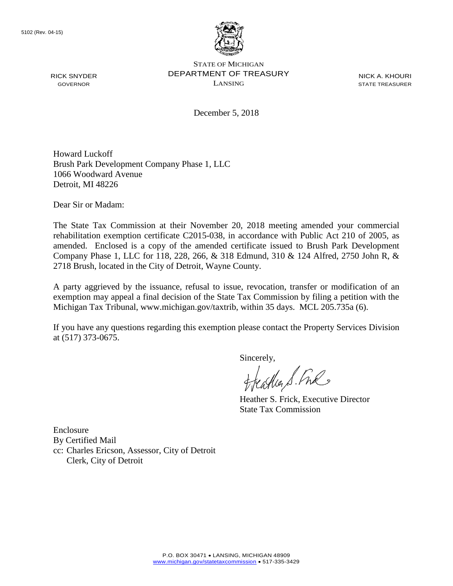

STATE OF MICHIGAN DEPARTMENT OF TREASURY LANSING

NICK A. KHOURI STATE TREASURER

December 5, 2018

Howard Luckoff Brush Park Development Company Phase 1, LLC 1066 Woodward Avenue Detroit, MI 48226

Dear Sir or Madam:

The State Tax Commission at their November 20, 2018 meeting amended your commercial rehabilitation exemption certificate C2015-038, in accordance with Public Act 210 of 2005, as amended. Enclosed is a copy of the amended certificate issued to Brush Park Development Company Phase 1, LLC for 118, 228, 266, & 318 Edmund, 310 & 124 Alfred, 2750 John R, & 2718 Brush, located in the City of Detroit, Wayne County.

A party aggrieved by the issuance, refusal to issue, revocation, transfer or modification of an exemption may appeal a final decision of the State Tax Commission by filing a petition with the Michigan Tax Tribunal, www.michigan.gov/taxtrib, within 35 days. MCL 205.735a (6).

If you have any questions regarding this exemption please contact the Property Services Division at (517) 373-0675.

Sincerely,<br>Heather S. Fuls

Heather S. Frick, Executive Director State Tax Commission

Enclosure By Certified Mail cc: Charles Ericson, Assessor, City of Detroit Clerk, City of Detroit